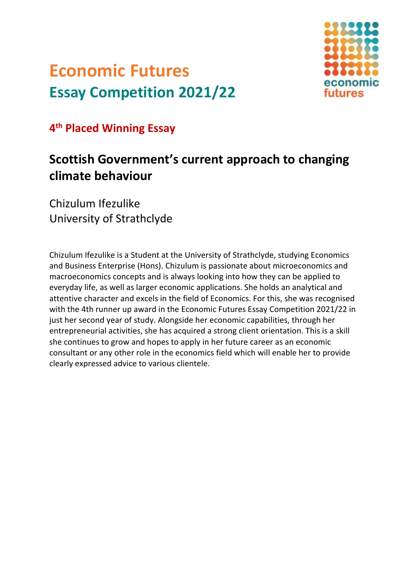## **Economic Futures Essay Competition 2021/22**



**4th Placed Winning Essay**

## **Scottish Government's current approach to changing climate behaviour**

Chizulum Ifezulike University of Strathclyde

Chizulum Ifezulike is a Student at the University of Strathclyde, studying Economics and Business Enterprise (Hons). Chizulum is passionate about microeconomics and macroeconomics concepts and is always looking into how they can be applied to everyday life, as well as larger economic applications. She holds an analytical and attentive character and excels in the field of Economics. For this, she was recognised with the 4th runner up award in the Economic Futures Essay Competition 2021/22 in just her second year of study. Alongside her economic capabilities, through her entrepreneurial activities, she has acquired a strong client orientation. This is a skill she continues to grow and hopes to apply in her future career as an economic consultant or any other role in the economics field which will enable her to provide clearly expressed advice to various clientele.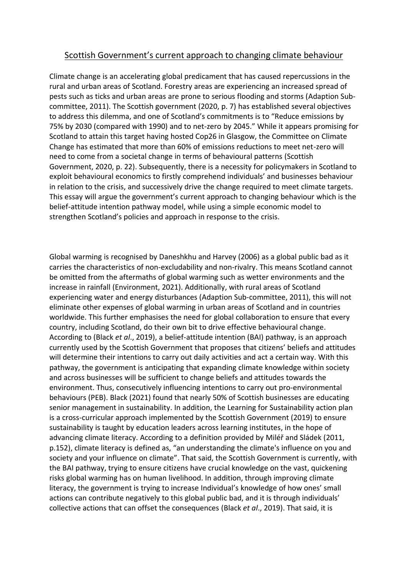## Scottish Government's current approach to changing climate behaviour

Climate change is an accelerating global predicament that has caused repercussions in the rural and urban areas of Scotland. Forestry areas are experiencing an increased spread of pests such as ticks and urban areas are prone to serious flooding and storms (Adaption Subcommittee, 2011). The Scottish government (2020, p. 7) has established several objectives to address this dilemma, and one of Scotland's commitments is to "Reduce emissions by 75% by 2030 (compared with 1990) and to net-zero by 2045." While it appears promising for Scotland to attain this target having hosted Cop26 in Glasgow, the Committee on Climate Change has estimated that more than 60% of emissions reductions to meet net-zero will need to come from a societal change in terms of behavioural patterns (Scottish Government, 2020, p. 22). Subsequently, there is a necessity for policymakers in Scotland to exploit behavioural economics to firstly comprehend individuals' and businesses behaviour in relation to the crisis, and successively drive the change required to meet climate targets. This essay will argue the government's current approach to changing behaviour which is the belief-attitude intention pathway model, while using a simple economic model to strengthen Scotland's policies and approach in response to the crisis.

Global warming is recognised by Daneshkhu and Harvey (2006) as a global public bad as it carries the characteristics of non-excludability and non-rivalry. This means Scotland cannot be omitted from the aftermaths of global warming such as wetter environments and the increase in rainfall (Environment, 2021). Additionally, with rural areas of Scotland experiencing water and energy disturbances (Adaption Sub-committee, 2011), this will not eliminate other expenses of global warming in urban areas of Scotland and in countries worldwide. This further emphasises the need for global collaboration to ensure that every country, including Scotland, do their own bit to drive effective behavioural change. According to (Black *et al*., 2019), a belief-attitude intention (BAI) pathway, is an approach currently used by the Scottish Government that proposes that citizens' beliefs and attitudes will determine their intentions to carry out daily activities and act a certain way. With this pathway, the government is anticipating that expanding climate knowledge within society and across businesses will be sufficient to change beliefs and attitudes towards the environment. Thus, consecutively influencing intentions to carry out pro-environmental behaviours (PEB). Black (2021) found that nearly 50% of Scottish businesses are educating senior management in sustainability. In addition, the Learning for Sustainability action plan is a cross-curricular approach implemented by the Scottish Government (2019) to ensure sustainability is taught by education leaders across learning institutes, in the hope of advancing climate literacy. According to a definition provided by Miléř and Sládek (2011, p.152), climate literacy is defined as, "an understanding the climate's influence on you and society and your influence on climate". That said, the Scottish Government is currently, with the BAI pathway, trying to ensure citizens have crucial knowledge on the vast, quickening risks global warming has on human livelihood. In addition, through improving climate literacy, the government is trying to increase Individual's knowledge of how ones' small actions can contribute negatively to this global public bad, and it is through individuals' collective actions that can offset the consequences (Black *et al*., 2019). That said, it is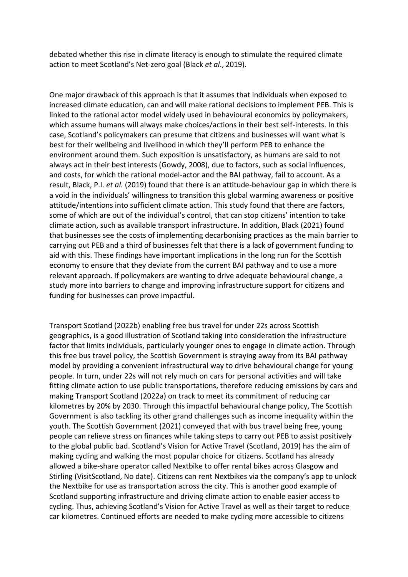debated whether this rise in climate literacy is enough to stimulate the required climate action to meet Scotland's Net-zero goal (Black *et al*., 2019).

One major drawback of this approach is that it assumes that individuals when exposed to increased climate education, can and will make rational decisions to implement PEB. This is linked to the rational actor model widely used in behavioural economics by policymakers, which assume humans will always make choices/actions in their best self-interests. In this case, Scotland's policymakers can presume that citizens and businesses will want what is best for their wellbeing and livelihood in which they'll perform PEB to enhance the environment around them. Such exposition is unsatisfactory, as humans are said to not always act in their best interests (Gowdy, 2008), due to factors, such as social influences, and costs, for which the rational model-actor and the BAI pathway, fail to account. As a result, Black, P.I. *et al.* (2019) found that there is an attitude-behaviour gap in which there is a void in the individuals' willingness to transition this global warming awareness or positive attitude/intentions into sufficient climate action. This study found that there are factors, some of which are out of the individual's control, that can stop citizens' intention to take climate action, such as available transport infrastructure. In addition, Black (2021) found that businesses see the costs of implementing decarbonising practices as the main barrier to carrying out PEB and a third of businesses felt that there is a lack of government funding to aid with this. These findings have important implications in the long run for the Scottish economy to ensure that they deviate from the current BAI pathway and to use a more relevant approach. If policymakers are wanting to drive adequate behavioural change, a study more into barriers to change and improving infrastructure support for citizens and funding for businesses can prove impactful.

Transport Scotland (2022b) enabling free bus travel for under 22s across Scottish geographics, is a good illustration of Scotland taking into consideration the infrastructure factor that limits individuals, particularly younger ones to engage in climate action. Through this free bus travel policy, the Scottish Government is straying away from its BAI pathway model by providing a convenient infrastructural way to drive behavioural change for young people. In turn, under 22s will not rely much on cars for personal activities and will take fitting climate action to use public transportations, therefore reducing emissions by cars and making Transport Scotland (2022a) on track to meet its commitment of reducing car kilometres by 20% by 2030. Through this impactful behavioural change policy, The Scottish Government is also tackling its other grand challenges such as income inequality within the youth. The Scottish Government (2021) conveyed that with bus travel being free, young people can relieve stress on finances while taking steps to carry out PEB to assist positively to the global public bad. Scotland's Vision for Active Travel (Scotland, 2019) has the aim of making cycling and walking the most popular choice for citizens. Scotland has already allowed a bike-share operator called Nextbike to offer rental bikes across Glasgow and Stirling (VisitScotland, No date). Citizens can rent Nextbikes via the company's app to unlock the Nextbike for use as transportation across the city. This is another good example of Scotland supporting infrastructure and driving climate action to enable easier access to cycling. Thus, achieving Scotland's Vision for Active Travel as well as their target to reduce car kilometres. Continued efforts are needed to make cycling more accessible to citizens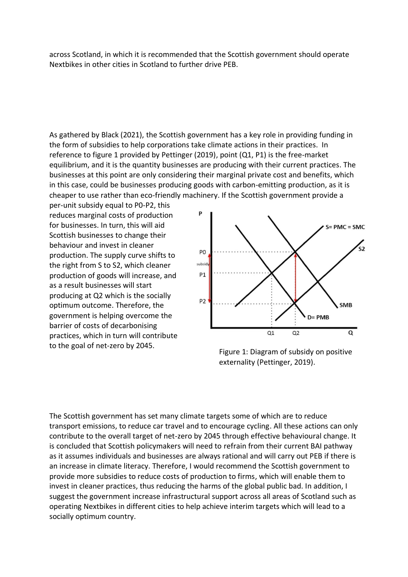across Scotland, in which it is recommended that the Scottish government should operate Nextbikes in other cities in Scotland to further drive PEB.

As gathered by Black (2021), the Scottish government has a key role in providing funding in the form of subsidies to help corporations take climate actions in their practices. In reference to figure 1 provided by Pettinger (2019), point (Q1, P1) is the free-market equilibrium, and it is the quantity businesses are producing with their current practices. The businesses at this point are only considering their marginal private cost and benefits, which in this case, could be businesses producing goods with carbon-emitting production, as it is cheaper to use rather than eco-friendly machinery. If the Scottish government provide a

per-unit subsidy equal to P0-P2, this reduces marginal costs of production for businesses. In turn, this will aid Scottish businesses to change their behaviour and invest in cleaner production. The supply curve shifts to the right from S to S2, which cleaner production of goods will increase, and as a result businesses will start producing at Q2 which is the socially optimum outcome. Therefore, the government is helping overcome the barrier of costs of decarbonising practices, which in turn will contribute to the goal of net-zero by 2045.



Figure 1: Diagram of subsidy on positive externality (Pettinger, 2019).

The Scottish government has set many climate targets some of which are to reduce transport emissions, to reduce car travel and to encourage cycling. All these actions can only contribute to the overall target of net-zero by 2045 through effective behavioural change. It is concluded that Scottish policymakers will need to refrain from their current BAI pathway as it assumes individuals and businesses are always rational and will carry out PEB if there is an increase in climate literacy. Therefore, I would recommend the Scottish government to provide more subsidies to reduce costs of production to firms, which will enable them to invest in cleaner practices, thus reducing the harms of the global public bad. In addition, I suggest the government increase infrastructural support across all areas of Scotland such as operating Nextbikes in different cities to help achieve interim targets which will lead to a socially optimum country.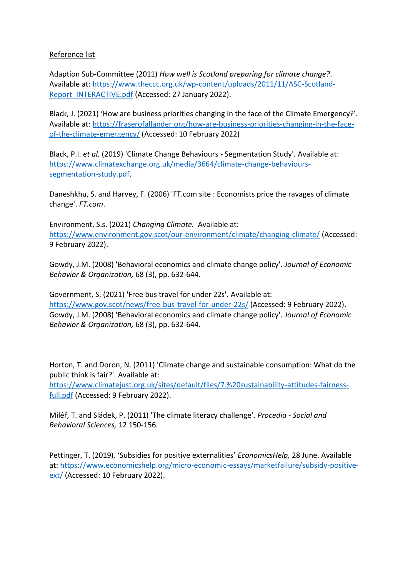## Reference list

Adaption Sub-Committee (2011) *How well is Scotland preparing for climate change?*. Available at: [https://www.theccc.org.uk/wp-content/uploads/2011/11/ASC-Scotland-](https://www.theccc.org.uk/wp-content/uploads/2011/11/ASC-Scotland-Report_INTERACTIVE.pdf)[Report\\_INTERACTIVE.pdf](https://www.theccc.org.uk/wp-content/uploads/2011/11/ASC-Scotland-Report_INTERACTIVE.pdf) (Accessed: 27 January 2022).

Black, J. (2021) 'How are business priorities changing in the face of the Climate Emergency?'. Available at: [https://fraserofallander.org/how-are-business-priorities-changing-in-the-face](https://fraserofallander.org/how-are-business-priorities-changing-in-the-face-of-the-climate-emergency/)[of-the-climate-emergency/](https://fraserofallander.org/how-are-business-priorities-changing-in-the-face-of-the-climate-emergency/) (Accessed: 10 February 2022)

Black, P.I. *et al.* (2019) 'Climate Change Behaviours - Segmentation Study'*.* Available at: [https://www.climatexchange.org.uk/media/3664/climate-change-behaviours](https://www.climatexchange.org.uk/media/3664/climate-change-behaviours-segmentation-study.pdf)[segmentation-study.pdf.](https://www.climatexchange.org.uk/media/3664/climate-change-behaviours-segmentation-study.pdf)

Daneshkhu, S. and Harvey, F. (2006) 'FT.com site : Economists price the ravages of climate change'. *FT.com*.

Environment, S.s. (2021) *Changing Climate.* Available at: <https://www.environment.gov.scot/our-environment/climate/changing-climate/> (Accessed: 9 February 2022).

Gowdy, J.M. (2008) 'Behavioral economics and climate change policy'. *Journal of Economic Behavior & Organization,* 68 (3), pp. 632-644.

Government, S. (2021) 'Free bus travel for under 22s'*.* Available at: <https://www.gov.scot/news/free-bus-travel-for-under-22s/> (Accessed: 9 February 2022). Gowdy, J.M. (2008) 'Behavioral economics and climate change policy'. *Journal of Economic Behavior & Organization,* 68 (3), pp. 632-644.

Horton, T. and Doron, N. (2011) 'Climate change and sustainable consumption: What do the public think is fair?'*.* Available at:

[https://www.climatejust.org.uk/sites/default/files/7.%20sustainability-attitudes-fairness](https://www.climatejust.org.uk/sites/default/files/7.%20sustainability-attitudes-fairness-full.pdf)[full.pdf](https://www.climatejust.org.uk/sites/default/files/7.%20sustainability-attitudes-fairness-full.pdf) (Accessed: 9 February 2022).

Miléř, T. and Sládek, P. (2011) 'The climate literacy challenge'. *Procedia - Social and Behavioral Sciences,* 12 150-156.

Pettinger, T. (2019). 'Subsidies for positive externalities' *EconomicsHelp,* 28 June. Available at[: https://www.economicshelp.org/micro-economic-essays/marketfailure/subsidy-positive](https://www.economicshelp.org/micro-economic-essays/marketfailure/subsidy-positive-ext/)[ext/](https://www.economicshelp.org/micro-economic-essays/marketfailure/subsidy-positive-ext/) (Accessed: 10 February 2022).